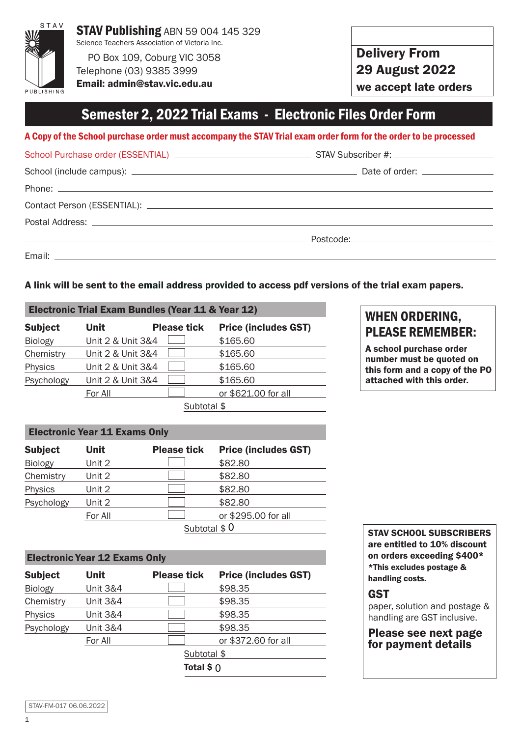

Telephone (03) 9385 3999 Email: admin@stav.vic.edu.au Delivery From 29 August 2022

we accept late orders

### Semester 2, 2022 Trial Exams - Electronic Files Order Form

A Copy of the School purchase order must accompany the STAV Trial exam order form for the order to be processed

| <u> 1999 - Johann Harry Harry Harry Harry Harry Harry Harry Harry Harry Harry Harry Harry Harry Harry Harry Harry Harry Harry Harry Harry Harry Harry Harry Harry Harry Harry Harry Harry Harry Harry Harry Harry Harry Harry Ha</u> |  |
|--------------------------------------------------------------------------------------------------------------------------------------------------------------------------------------------------------------------------------------|--|
|                                                                                                                                                                                                                                      |  |

#### A link will be sent to the email address provided to access pdf versions of the trial exam papers.

| Electronic Trial Exam Bundles (Year 11 & Year 12) |                   |                    |                             |
|---------------------------------------------------|-------------------|--------------------|-----------------------------|
| <b>Subject</b>                                    | Unit              | <b>Please tick</b> | <b>Price (includes GST)</b> |
| <b>Biology</b>                                    | Unit 2 & Unit 3&4 |                    | \$165.60                    |
| Chemistry                                         | Unit 2 & Unit 3&4 |                    | \$165.60                    |
| Physics                                           | Unit 2 & Unit 3&4 |                    | \$165.60                    |
| Psychology                                        | Unit 2 & Unit 3&4 |                    | \$165.60                    |
|                                                   | For All           |                    | or \$621.00 for all         |
|                                                   |                   |                    |                             |

Subtotal \$

#### Electronic Year 11 Exams Only

| <b>Subject</b> | Unit          | <b>Please tick</b> | <b>Price (includes GST)</b> |
|----------------|---------------|--------------------|-----------------------------|
| <b>Biology</b> | Unit 2        |                    | \$82.80                     |
| Chemistry      | Unit 2        |                    | \$82.80                     |
| Physics        | Unit 2        |                    | \$82.80                     |
| Psychology     | Unit 2        |                    | \$82.80                     |
|                | For All       |                    | or \$295.00 for all         |
|                | Subtotal $$0$ |                    |                             |

#### Electronic Year 12 Exams Only

| <b>Subject</b> | Unit                | <b>Please tick</b> | <b>Price (includes GST)</b> |
|----------------|---------------------|--------------------|-----------------------------|
| <b>Biology</b> | <b>Unit 3&amp;4</b> |                    | \$98.35                     |
| Chemistry      | <b>Unit 3&amp;4</b> |                    | \$98.35                     |
| Physics        | Unit 3&4            |                    | \$98.35                     |
| Psychology     | <b>Unit 3&amp;4</b> |                    | \$98.35                     |
|                | For All             |                    | or \$372.60 for all         |
|                |                     | Subtotal \$        |                             |
|                |                     | Total $$0$         |                             |
|                |                     |                    |                             |

### PLEASE REMEMBER: A school purchase order

WHEN ORDERING,

number must be quoted on this form and a copy of the PO attached with this order.

STAV SCHOOL SUBSCRIBERS are entitled to 10% discount on orders exceeding \$400\* \*This excludes postage & handling costs.

### **GST**

paper, solution and postage & handling are GST inclusive.

#### Please see next page for payment details